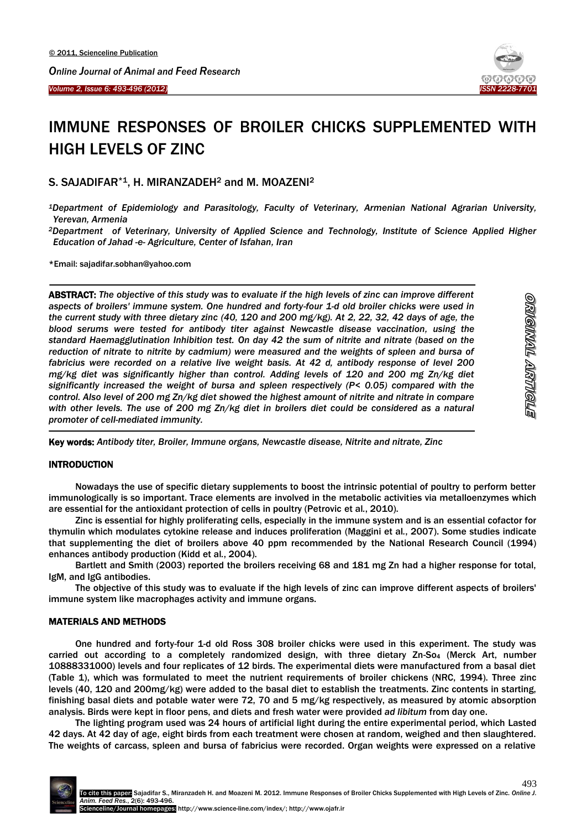



# IMMUNE RESPONSES OF BROILER CHICKS SUPPLEMENTED WITH HIGH LEVELS OF ZINC

# S. SAJADIFAR\*1, H. MIRANZADEH<sup>2</sup> and M. MOAZENI<sup>2</sup>

*<sup>1</sup>Department of Epidemiology and Parasitology, Faculty of Veterinary, Armenian National Agrarian University, Yerevan, Armenia*

*<sup>2</sup>Department of Veterinary, University of Applied Science and Technology, Institute of Science Applied Higher Education of Jahad -e- Agriculture, Center of Isfahan, Iran*

\*Email: sajadifar.sobhan@yahoo.com

 $\overline{\phantom{a}}$ ABSTRACT: *The objective of this study was to evaluate if the high levels of zinc can improve different aspects of broilers' immune system. One hundred and forty-four 1-d old broiler chicks were used in the current study with three dietary zinc (40, 120 and 200 mg/kg). At 2, 22, 32, 42 days of age, the blood serums were tested for antibody titer against Newcastle disease vaccination, using the standard Haemagglutination Inhibition test. On day 42 the sum of nitrite and nitrate (based on the*  reduction of nitrate to nitrite by cadmium) were measured and the weights of spleen and bursa of *fabricius were recorded on a relative live weight basis. At 42 d, antibody response of level 200 mg/kg diet was significantly higher than control. Adding levels of 120 and 200 mg Zn/kg diet significantly increased the weight of bursa and spleen respectively (P< 0.05) compared with the control. Also level of 200 mg Zn/kg diet showed the highest amount of nitrite and nitrate in compare*  with other levels. The use of 200 mg Zn/kg diet in broilers diet could be considered as a natural *promoter of cell-mediated immunity.* 

-Key words: *Antibody titer, Broiler, Immune organs, Newcastle disease, Nitrite and nitrate, Zinc*

# **INTRODUCTION**

Nowadays the use of specific dietary supplements to boost the intrinsic potential of poultry to perform better immunologically is so important. Trace elements are involved in the metabolic activities via metalloenzymes which are essential for the antioxidant protection of cells in poultry (Petrovic et al*.*, 2010).

Zinc is essential for highly proliferating cells, especially in the immune system and is an essential cofactor for thymulin which modulates cytokine release and induces proliferation (Maggini et al*.*, 2007). Some studies indicate that supplementing the diet of broilers above 40 ppm recommended by the National Research Council (1994) enhances antibody production (Kidd et al*.*, 2004).

Bartlett and Smith (2003) reported the broilers receiving 68 and 181 mg Zn had a higher response for total, IgM, and IgG antibodies.

The objective of this study was to evaluate if the high levels of zinc can improve different aspects of broilers' immune system like macrophages activity and immune organs.

# MATERIALS AND METHODS

One hundred and forty-four 1-d old Ross 308 broiler chicks were used in this experiment. The study was carried out according to a completely randomized design, with three dietary Zn-So<sup>4</sup> (Merck Art, number 10888331000) levels and four replicates of 12 birds. The experimental diets were manufactured from a basal diet (Table 1), which was formulated to meet the nutrient requirements of broiler chickens (NRC, 1994). Three zinc levels (40, 120 and 200mg/kg) were added to the basal diet to establish the treatments. Zinc contents in starting, finishing basal diets and potable water were 72, 70 and 5 mg/kg respectively, as measured by atomic absorption analysis. Birds were kept in floor pens, and diets and fresh water were provided *ad libitum* from day one.

The lighting program used was 24 hours of artificial light during the entire experimental period, which Lasted 42 days. At 42 day of age, eight birds from each treatment were chosen at random, weighed and then slaughtered. The weights of carcass, spleen and bursa of fabricius were recorded. Organ weights were expressed on a relative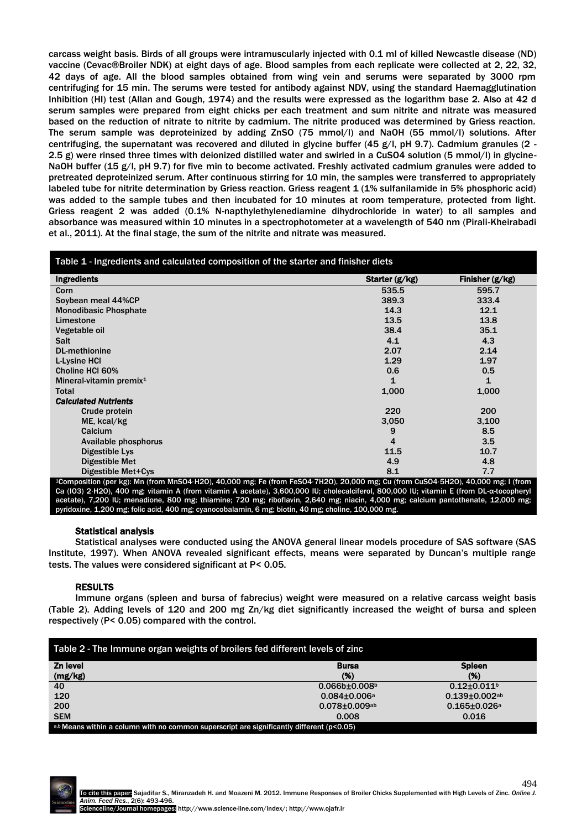carcass weight basis. Birds of all groups were intramuscularly injected with 0.1 ml of killed Newcastle disease (ND) vaccine (Cevac®Broiler NDK) at eight days of age. Blood samples from each replicate were collected at 2, 22, 32, 42 days of age. All the blood samples obtained from wing vein and serums were separated by 3000 rpm centrifuging for 15 min. The serums were tested for antibody against NDV, using the standard Haemagglutination Inhibition (HI) test (Allan and Gough, 1974) and the results were expressed as the logarithm base 2. Also at 42 d serum samples were prepared from eight chicks per each treatment and sum nitrite and nitrate was measured based on the reduction of nitrate to nitrite by cadmium. The nitrite produced was determined by Griess reaction. The serum sample was deproteinized by adding ZnSO (75 mmol/l) and NaOH (55 mmol/l) solutions. After centrifuging, the supernatant was recovered and diluted in glycine buffer (45 g/l, pH 9.7). Cadmium granules (2 -2.5 g) were rinsed three times with deionized distilled water and swirled in a CuSO4 solution (5 mmol/l) in glycine-NaOH buffer (15 g/l, pH 9.7) for five min to become activated. Freshly activated cadmium granules were added to pretreated deproteinized serum. After continuous stirring for 10 min, the samples were transferred to appropriately labeled tube for nitrite determination by Griess reaction. Griess reagent 1 (1% sulfanilamide in 5% phosphoric acid) was added to the sample tubes and then incubated for 10 minutes at room temperature, protected from light. Griess reagent 2 was added (0.1% N-napthylethylenediamine dihydrochloride in water) to all samples and absorbance was measured within 10 minutes in a spectrophotometer at a wavelength of 540 nm (Pirali-Kheirabadi et al., 2011). At the final stage, the sum of the nitrite and nitrate was measured.

| Table 1 - Ingredients and calculated composition of the starter and finisher diets                                                 |                |                 |
|------------------------------------------------------------------------------------------------------------------------------------|----------------|-----------------|
| <b>Ingredients</b>                                                                                                                 | Starter (g/kg) | Finisher (g/kg) |
| Corn                                                                                                                               | 535.5          | 595.7           |
| Soybean meal 44%CP                                                                                                                 | 389.3          | 333.4           |
| <b>Monodibasic Phosphate</b>                                                                                                       | 14.3           | 12.1            |
| Limestone                                                                                                                          | 13.5           | 13.8            |
| Vegetable oil                                                                                                                      | 38.4           | 35.1            |
| <b>Salt</b>                                                                                                                        | 4.1            | 4.3             |
| <b>DL-methionine</b>                                                                                                               | 2.07           | 2.14            |
| L-Lysine HCI                                                                                                                       | 1.29           | 1.97            |
| Choline HCI 60%                                                                                                                    | 0.6            | 0.5             |
| Mineral-vitamin premix <sup>1</sup>                                                                                                | 1              | 1               |
| <b>Total</b>                                                                                                                       | 1,000          | 1,000           |
| <b>Calculated Nutrients</b>                                                                                                        |                |                 |
| Crude protein                                                                                                                      | 220            | 200             |
| ME, kcal/kg                                                                                                                        | 3,050          | 3,100           |
| Calcium                                                                                                                            | 9              | 8.5             |
| Available phosphorus                                                                                                               | 4              | 3.5             |
| Digestible Lys                                                                                                                     | 11.5           | 10.7            |
| Digestible Met                                                                                                                     | 4.9            | 4.8             |
| Digestible Met+Cys                                                                                                                 | 8.1            | 7.7             |
| $1$ Composition (per kg): Mp (from MpSO4,420), 40,000 mg; Ee (from EeSO4,7420), 20,000 mg; Cu (from CuSO4,5420), 40,000 mg; L(from |                |                 |

<sup>1</sup>Composition (per kg): Mn (from MnSO4⋅H2O), 40,000 mg; Fe (from FeSO4⋅7H2O), 20,000 mg; Cu (from CuSO4⋅5H2O), 40,000 mg; I (from Ca (IO3) 2⋅H2O), 400 mg; vitamin A (from vitamin A acetate), 3,600,000 IU; cholecalciferol, 800,000 IU; vitamin E (from DL-α-tocopheryl acetate), 7,200 IU; menadione, 800 mg; thiamine; 720 mg; riboflavin, 2,640 mg; niacin, 4,000 mg; calcium pantothenate, 12,000 mg; pyridoxine, 1,200 mg; folic acid, 400 mg; cyanocobalamin, 6 mg; biotin, 40 mg; choline, 100,000 mg.

#### Statistical analysis

Statistical analyses were conducted using the ANOVA general linear models procedure of SAS software (SAS Institute, 1997). When ANOVA revealed significant effects, means were separated by Duncan's multiple range tests. The values were considered significant at P< 0.05.

# RESULTS

Immune organs (spleen and bursa of fabrecius) weight were measured on a relative carcass weight basis (Table 2). Adding levels of 120 and 200 mg Zn/kg diet significantly increased the weight of bursa and spleen respectively (P< 0.05) compared with the control.

| Table 2 - The Immune organ weights of broilers fed different levels of zinc                   |                      |                      |  |
|-----------------------------------------------------------------------------------------------|----------------------|----------------------|--|
| Zn level                                                                                      | <b>Bursa</b>         | <b>Spleen</b>        |  |
| (mg/kg)                                                                                       | (%)                  | (%)                  |  |
| 40                                                                                            | $0.066b + 0.008b$    | $0.12 + 0.011$       |  |
| 120                                                                                           | $0.084 \pm 0.006$ a  | $0.139 \pm 0.002$ ab |  |
| 200                                                                                           | $0.078 \pm 0.009$ ab | $0.165 \pm 0.026$ a  |  |
| <b>SEM</b>                                                                                    | 0.008                | 0.016                |  |
| a,b Means within a column with no common superscript are significantly different ( $p<0.05$ ) |                      |                      |  |

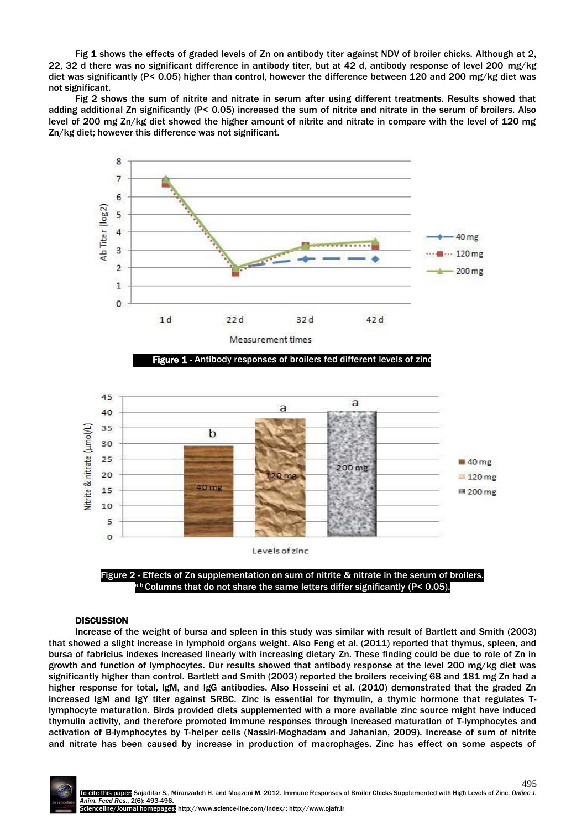Fig 1 shows the effects of graded levels of Zn on antibody titer against NDV of broiler chicks. Although at 2, 22, 32 d there was no significant difference in antibody titer, but at 42 d, antibody response of level 200 mg/kg diet was significantly (P< 0.05) higher than control, however the difference between 120 and 200 mg/kg diet was not significant.

Fig 2 shows the sum of nitrite and nitrate in serum after using different treatments. Results showed that adding additional Zn significantly (P< 0.05) increased the sum of nitrite and nitrate in the serum of broilers. Also level of 200 mg Zn/kg diet showed the higher amount of nitrite and nitrate in compare with the level of 120 mg Zn/kg diet; however this difference was not significant.



 $b$  Columns that do not share the same letters differ significantly (P< 0.05).

# **DISCUSSION**

Increase of the weight of bursa and spleen in this study was similar with result of Bartlett and Smith (2003) that showed a slight increase in lymphoid organs weight. Also Feng et al*.* (2011) reported that thymus, spleen, and bursa of fabricius indexes increased linearly with increasing dietary Zn. These finding could be due to role of Zn in growth and function of lymphocytes. Our results showed that antibody response at the level 200 mg/kg diet was significantly higher than control. Bartlett and Smith (2003) reported the broilers receiving 68 and 181 mg Zn had a higher response for total, IgM, and IgG antibodies. Also Hosseini et al*.* (2010) demonstrated that the graded Zn increased IgM and IgY titer against SRBC. Zinc is essential for thymulin, a thymic hormone that regulates Tlymphocyte maturation. Birds provided diets supplemented with a more available zinc source might have induced thymulin activity, and therefore promoted immune responses through increased maturation of T-lymphocytes and activation of B-lymphocytes by T-helper cells (Nassiri-Moghadam and Jahanian, 2009). Increase of sum of nitrite and nitrate has been caused by increase in production of macrophages. Zinc has effect on some aspects of